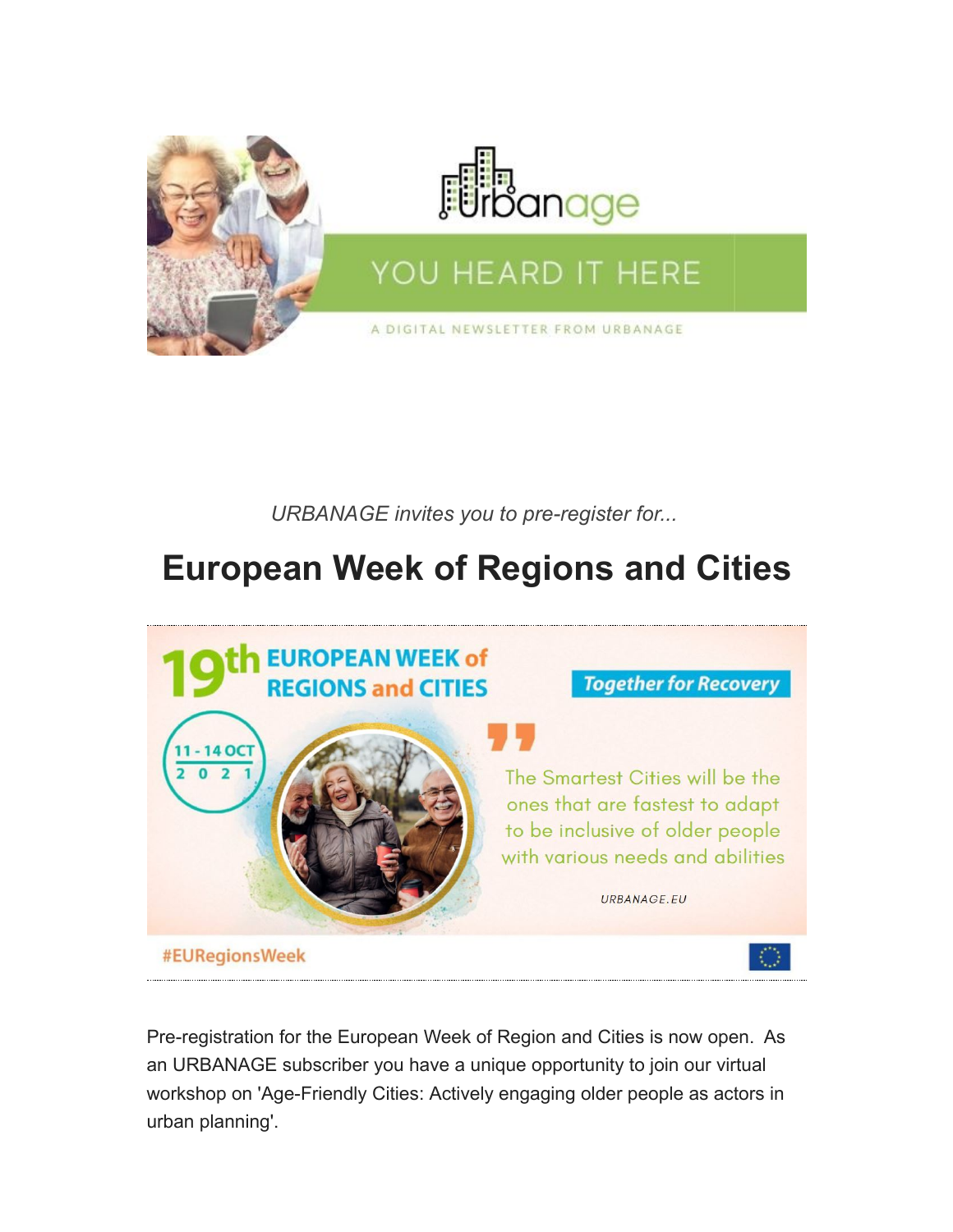

*URBANAGE invites you to pre-register for...*

## **European Week of Regions and Cities**



Pre-registration for the European Week of Region and Cities is now open. As an URBANAGE subscriber you have a unique opportunity to join our virtual workshop on 'Age-Friendly Cities: Actively engaging older people as actors in urban planning'.